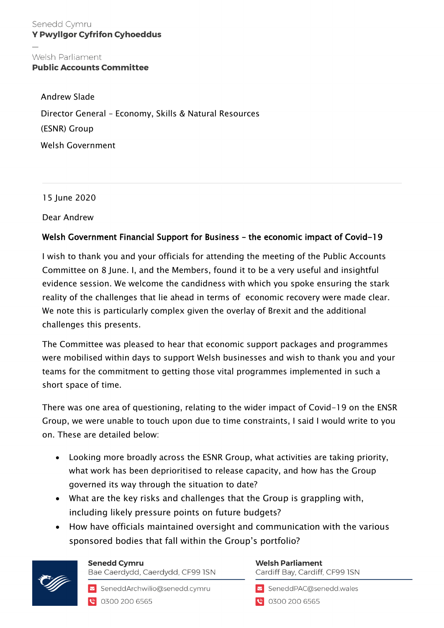## Welsh Parliament **Public Accounts Committee**

Andrew Slade Director General – Economy, Skills & Natural Resources (ESNR) Group Welsh Government

15 June 2020

Dear Andrew

## Welsh Government Financial Support for Business – the economic impact of Covid-19

I wish to thank you and your officials for attending the meeting of the Public Accounts Committee on 8 June. I, and the Members, found it to be a very useful and insightful evidence session. We welcome the candidness with which you spoke ensuring the stark reality of the challenges that lie ahead in terms of economic recovery were made clear. We note this is particularly complex given the overlay of Brexit and the additional challenges this presents.

The Committee was pleased to hear that economic support packages and programmes were mobilised within days to support Welsh businesses and wish to thank you and your teams for the commitment to getting those vital programmes implemented in such a short space of time.

There was one area of questioning, relating to the wider impact of Covid-19 on the ENSR Group, we were unable to touch upon due to time constraints, I said I would write to you on. These are detailed below:

- Looking more broadly across the ESNR Group, what activities are taking priority, what work has been deprioritised to release capacity, and how has the Group governed its way through the situation to date?
- What are the key risks and challenges that the Group is grappling with, including likely pressure points on future budgets?
- How have officials maintained oversight and communication with the various sponsored bodies that fall within the Group's portfolio?



## **Senedd Cymru**

Bae Caerdydd, Caerdydd, CF99 ISN

SeneddArchwilio@senedd.cymru C 0300 200 6565

## **Welsh Parliament** Cardiff Bay, Cardiff, CF99 ISN

SeneddPAC@senedd.wales

**@** 0300 200 6565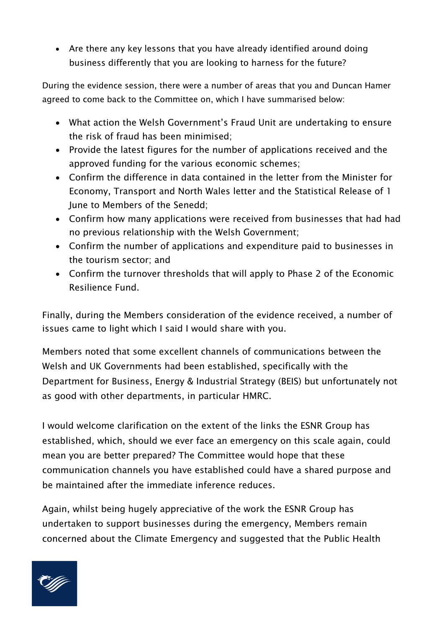• Are there any key lessons that you have already identified around doing business differently that you are looking to harness for the future?

During the evidence session, there were a number of areas that you and Duncan Hamer agreed to come back to the Committee on, which I have summarised below:

- What action the Welsh Government's Fraud Unit are undertaking to ensure the risk of fraud has been minimised;
- Provide the latest figures for the number of applications received and the approved funding for the various economic schemes;
- Confirm the difference in data contained in the letter from the Minister for Economy, Transport and North Wales letter and the Statistical Release of 1 June to Members of the Senedd;
- Confirm how many applications were received from businesses that had had no previous relationship with the Welsh Government;
- Confirm the number of applications and expenditure paid to businesses in the tourism sector; and
- Confirm the turnover thresholds that will apply to Phase 2 of the Economic Resilience Fund.

Finally, during the Members consideration of the evidence received, a number of issues came to light which I said I would share with you.

Members noted that some excellent channels of communications between the Welsh and UK Governments had been established, specifically with the Department for Business, Energy & Industrial Strategy (BEIS) but unfortunately not as good with other departments, in particular HMRC.

I would welcome clarification on the extent of the links the ESNR Group has established, which, should we ever face an emergency on this scale again, could mean you are better prepared? The Committee would hope that these communication channels you have established could have a shared purpose and be maintained after the immediate inference reduces.

Again, whilst being hugely appreciative of the work the ESNR Group has undertaken to support businesses during the emergency, Members remain concerned about the Climate Emergency and suggested that the Public Health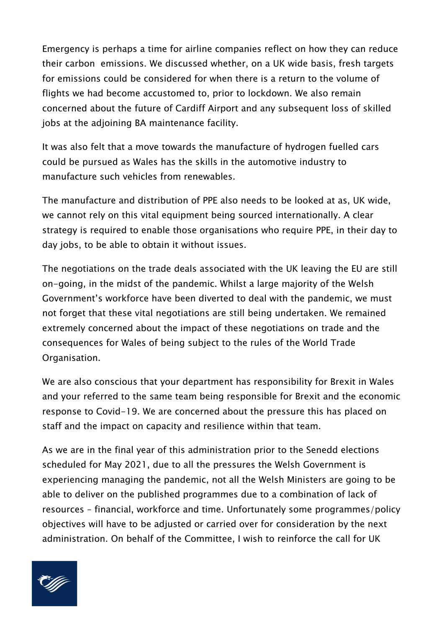Emergency is perhaps a time for airline companies reflect on how they can reduce their carbon emissions. We discussed whether, on a UK wide basis, fresh targets for emissions could be considered for when there is a return to the volume of flights we had become accustomed to, prior to lockdown. We also remain concerned about the future of Cardiff Airport and any subsequent loss of skilled jobs at the adjoining BA maintenance facility.

It was also felt that a move towards the manufacture of hydrogen fuelled cars could be pursued as Wales has the skills in the automotive industry to manufacture such vehicles from renewables.

The manufacture and distribution of PPE also needs to be looked at as, UK wide, we cannot rely on this vital equipment being sourced internationally. A clear strategy is required to enable those organisations who require PPE, in their day to day jobs, to be able to obtain it without issues.

The negotiations on the trade deals associated with the UK leaving the EU are still on-going, in the midst of the pandemic. Whilst a large majority of the Welsh Government's workforce have been diverted to deal with the pandemic, we must not forget that these vital negotiations are still being undertaken. We remained extremely concerned about the impact of these negotiations on trade and the consequences for Wales of being subject to the rules of the World Trade Organisation.

We are also conscious that your department has responsibility for Brexit in Wales and your referred to the same team being responsible for Brexit and the economic response to Covid-19. We are concerned about the pressure this has placed on staff and the impact on capacity and resilience within that team.

As we are in the final year of this administration prior to the Senedd elections scheduled for May 2021, due to all the pressures the Welsh Government is experiencing managing the pandemic, not all the Welsh Ministers are going to be able to deliver on the published programmes due to a combination of lack of resources – financial, workforce and time. Unfortunately some programmes/policy objectives will have to be adjusted or carried over for consideration by the next administration. On behalf of the Committee, I wish to reinforce the call for UK